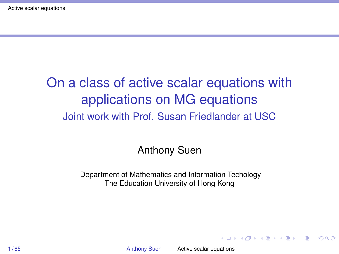#### <span id="page-0-0"></span>On a class of active scalar equations with applications on MG equations Joint work with Prof. Susan Friedlander at USC

#### Anthony Suen

#### Department of Mathematics and Information Techology The Education University of Hong Kong

1/65 **Anthony Suen [Active scalar equations](#page-64-0)**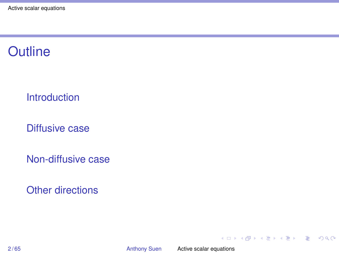#### **Outline**

**[Introduction](#page-2-0)** 

[Diffusive case](#page-13-0)

[Non-diffusive case](#page-32-0)

[Other directions](#page-53-0)

2 / 65 Anthony Suen [Active scalar equations](#page-0-0)

KID KAR KE KE KE YA GA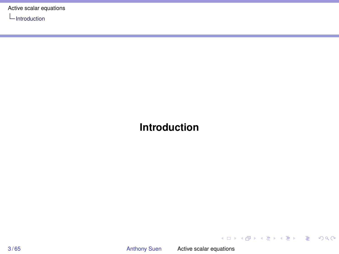#### <span id="page-2-0"></span>**Introduction**

3/65 Anthony Suen [Active scalar equations](#page-0-0)

KOKKØKKEKKEK E DAG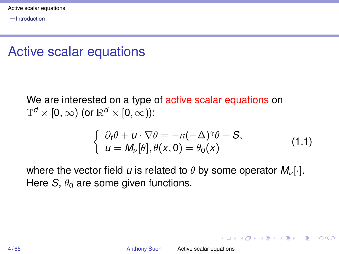#### Active scalar equations

We are interested on a type of active scalar equations on  $\mathbb{T}^d \times [0,\infty)$  (or  $\mathbb{R}^d \times [0,\infty)$ ):

<span id="page-3-0"></span>
$$
\begin{cases}\n\partial_t \theta + u \cdot \nabla \theta = -\kappa (-\Delta)^\gamma \theta + S, \\
u = M_\nu[\theta], \theta(x, 0) = \theta_0(x)\n\end{cases}
$$
\n(1.1)

KO KARK KEK KEK E YOKA

where the vector field *u* is related to  $\theta$  by some operator  $M_{\nu}[\cdot]$ . Here  $S$ ,  $\theta_0$  are some given functions.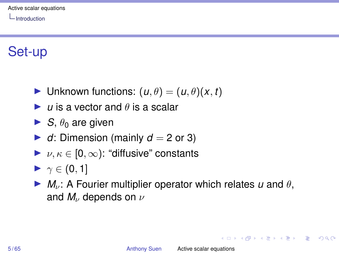## Set-up

- If Unknown functions:  $(u, \theta) = (u, \theta)(x, t)$
- $\blacktriangleright$  *u* is a vector and  $\theta$  is a scalar
- $\blacktriangleright$  *S*,  $\theta_0$  are given
- $\blacktriangleright$  *d*: Dimension (mainly *d* = 2 or 3)
- $\triangleright$   $\nu, \kappa \in [0, \infty)$ : "diffusive" constants
- $\blacktriangleright \gamma \in (0,1]$
- $\blacktriangleright$  *M<sub>v</sub>*: A Fourier multiplier operator which relates *u* and  $\theta$ , and  $M_{\nu}$  depends on  $\nu$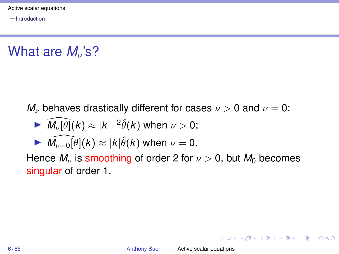#### What are *M*<sub>v</sub>'s?

*M*<sub>ν</sub> behaves drastically different for cases  $\nu > 0$  and  $\nu = 0$ :

$$
\blacktriangleright \widehat{M_{\nu}[\theta]}(k) \approx |k|^{-2} \widehat{\theta}(k) \text{ when } \nu > 0;
$$

$$
\triangleright \widehat{M_{\nu=0}[\theta]}(k) \approx |k|\hat{\theta}(k) \text{ when } \nu = 0.
$$

Hence  $M_{\nu}$  is smoothing of order 2 for  $\nu > 0$ , but  $M_0$  becomes singular of order 1.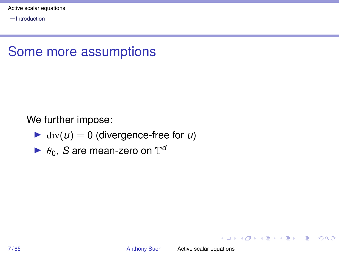#### Some more assumptions

We further impose:

- $\bullet$  div( $u$ ) = 0 (divergence-free for  $u$ )
- $\blacktriangleright$   $\theta_0$ , *S* are mean-zero on  $\mathbb{T}^d$

**KORKARK (EXIST)** DI VOCA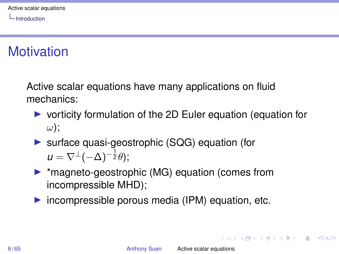## **Motivation**

Active scalar equations have many applications on fluid mechanics:

- $\triangleright$  vorticity formulation of the 2D Euler equation (equation for  $\omega$ );
- $\triangleright$  surface quasi-geostrophic (SQG) equation (for  $u = \nabla^{\perp}(-\Delta)^{-\frac{1}{2}}\theta;$
- ▶ \*magneto-geostrophic (MG) equation (comes from incompressible MHD);
- $\triangleright$  incompressible porous media (IPM) equation, etc.

KID KAP KE KE KE KE YAN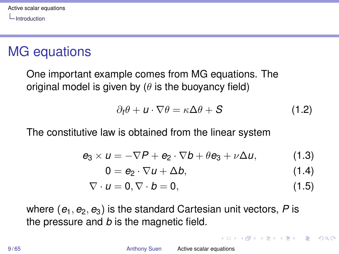## MG equations

One important example comes from MG equations. The original model is given by  $(\theta)$  is the buoyancy field)

<span id="page-8-0"></span>
$$
\partial_t \theta + u \cdot \nabla \theta = \kappa \Delta \theta + S \tag{1.2}
$$

The constitutive law is obtained from the linear system

$$
e_3 \times u = -\nabla P + e_2 \cdot \nabla b + \theta e_3 + \nu \Delta u, \qquad (1.3)
$$

<span id="page-8-1"></span>
$$
0 = e_2 \cdot \nabla u + \Delta b, \qquad (1.4)
$$

$$
\nabla \cdot u = 0, \nabla \cdot b = 0, \qquad (1.5)
$$

where  $(e_1, e_2, e_3)$  is the standard Cartesian unit vectors,  $P$  is the pressure and *b* is the magnetic field.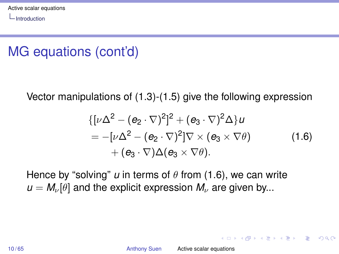### MG equations (cont'd)

Vector manipulations of [\(1.3\)](#page-8-0)-[\(1.5\)](#page-8-1) give the following expression

<span id="page-9-0"></span>
$$
\{[\nu\Delta^{2} - (e_{2} \cdot \nabla)^{2}]^{2} + (e_{3} \cdot \nabla)^{2} \Delta\}u
$$
  
= -[\nu\Delta^{2} - (e\_{2} \cdot \nabla)^{2}]\nabla \times (e\_{3} \times \nabla \theta)   
+ (e\_{3} \cdot \nabla)\Delta(e\_{3} \times \nabla \theta). \n(1.6)

Hence by "solving"  $u$  in terms of  $\theta$  from [\(1.6\)](#page-9-0), we can write  $u = M_{\nu}[\theta]$  and the explicit expression  $M_{\nu}$  are given by...

**KORKARK (EXIST)** DI VOCA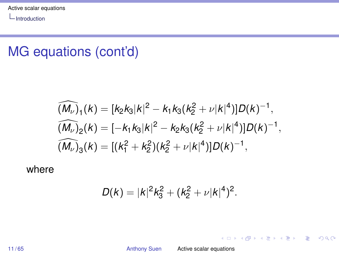#### MG equations (cont'd)

$$
\begin{aligned}\n\widehat{(M_{\nu})}_1(k) &= [k_2 k_3 |k|^2 - k_1 k_3 (k_2^2 + \nu |k|^4)] D(k)^{-1}, \\
\widehat{(M_{\nu})}_2(k) &= [-k_1 k_3 |k|^2 - k_2 k_3 (k_2^2 + \nu |k|^4)] D(k)^{-1}, \\
\widehat{(M_{\nu})}_3(k) &= [(k_1^2 + k_2^2)(k_2^2 + \nu |k|^4)] D(k)^{-1},\n\end{aligned}
$$

where

$$
D(k) = |k|^2 k_3^2 + (k_2^2 + \nu |k|^4)^2.
$$

11/65 **Anthony Suen [Active scalar equations](#page-0-0)** 

KID KAR KE KE KE YA GA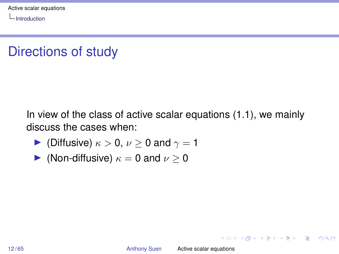#### Directions of study

In view of the class of active scalar equations [\(1.1\)](#page-3-0), we mainly discuss the cases when:

- In (Diffusive)  $\kappa > 0$ ,  $\nu > 0$  and  $\gamma = 1$
- (Non-diffusive)  $\kappa = 0$  and  $\nu > 0$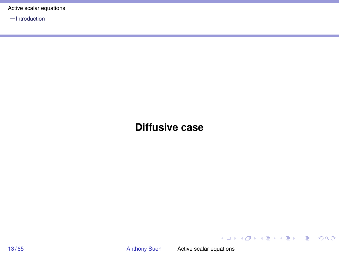#### **Diffusive case**

13/65 Anthony Suen [Active scalar equations](#page-0-0)

KOX KOX KEX KEX LE LONG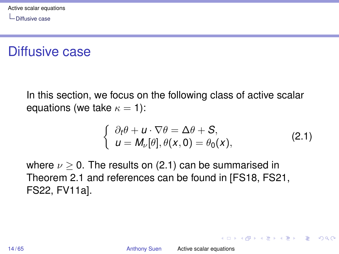#### <span id="page-13-0"></span>Diffusive case

In this section, we focus on the following class of active scalar equations (we take  $\kappa = 1$ ):

<span id="page-13-1"></span>
$$
\begin{cases}\n\partial_t \theta + u \cdot \nabla \theta = \Delta \theta + S, \\
u = M_{\nu}[\theta], \theta(x, 0) = \theta_0(x),\n\end{cases}
$$
\n(2.1)

where  $\nu \geq 0$ . The results on [\(2.1\)](#page-13-1) can be summarised in Theorem [2.1](#page-14-0) and references can be found in [FS18, FS21, FS22, FV11a].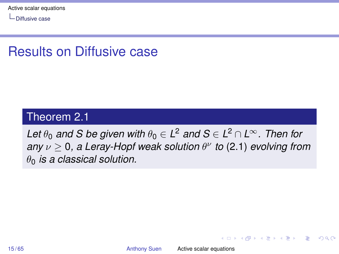#### Results on Diffusive case

#### Theorem 2.1

<span id="page-14-0"></span> $L$ et  $\theta_0$  *and S be given with*  $\theta_0 \in L^2$  *and*  $S \in L^2 \cap L^\infty$  *. Then for any*  $ν$   $≥$  0, a Leray-Hopf weak solution  $θ<sup>ν</sup>$  to [\(2.1\)](#page-13-1) evolving from  $\theta_0$  *is a classical solution.* 

15/65 **Anthony Suen [Active scalar equations](#page-0-0)** Anthony Suen Active scalar equations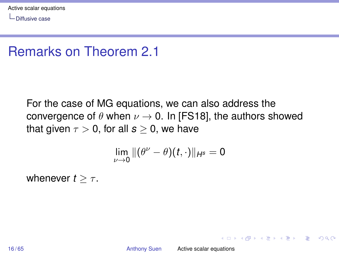#### Remarks on Theorem [2.1](#page-14-0)

For the case of MG equations, we can also address the convergence of  $\theta$  when  $\nu \rightarrow 0$ . In [FS18], the authors showed that given  $\tau > 0$ , for all  $s > 0$ , we have

$$
\lim_{\nu\to 0}\|(\theta^\nu-\theta)(t,\cdot)\|_{H^s}=0
$$

whenever  $t \geq \tau$ .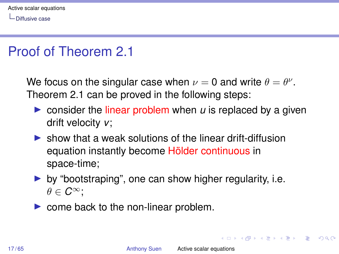#### Proof of Theorem [2.1](#page-14-0)

We focus on the singular case when  $\nu=0$  and write  $\theta=\theta^{\nu}.$ Theorem [2.1](#page-14-0) can be proved in the following steps:

- $\triangleright$  consider the linear problem when  $\mu$  is replaced by a given drift velocity *v*;
- $\triangleright$  show that a weak solutions of the linear drift-diffusion equation instantly become Hölder continuous in space-time;
- $\triangleright$  by "bootstraping", one can show higher regularity, i.e.  $\theta \in \mathcal{C}^{\infty}$ ;
- $\triangleright$  come back to the non-linear problem.

KOD KAP KED KED E YA G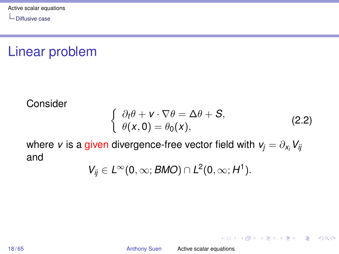#### Linear problem

Consider

<span id="page-17-0"></span>
$$
\begin{cases}\n\partial_t \theta + \mathbf{v} \cdot \nabla \theta = \Delta \theta + \mathbf{S}, \\
\theta(\mathbf{x}, \mathbf{0}) = \theta_0(\mathbf{x}),\n\end{cases}
$$
\n(2.2)

where *v* is a given divergence-free vector field with  $v_i = \partial_{x_i} V_{ii}$ and

$$
V_{ij} \in L^{\infty}(0,\infty; BMO) \cap L^{2}(0,\infty; H^{1}).
$$

KID KAR KE KE KE YA GA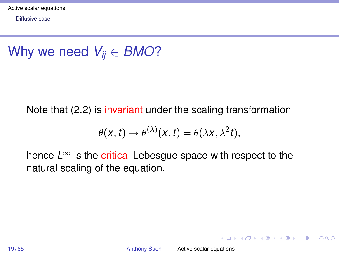Why we need  $V_{ii} \in BMO$ ?

Note that [\(2.2\)](#page-17-0) is invariant under the scaling transformation

$$
\theta(x,t) \to \theta^{(\lambda)}(x,t) = \theta(\lambda x, \lambda^2 t),
$$

hence *L*<sup>∞</sup> is the critical Lebesgue space with respect to the natural scaling of the equation.

KO KA KE KE KE KE YA G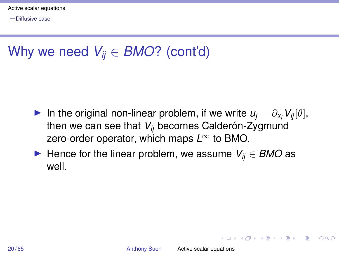## Why we need *Vij* ∈ *BMO*? (cont'd)

- **►** In the original non-linear problem, if we write  $u_i = \partial_{x_i} V_{ii}[\theta]$ , then we can see that *Vij* becomes Calderón-Zygmund zero-order operator, which maps *L*<sup>∞</sup> to BMO.
- <sup>I</sup> Hence for the linear problem, we assume *<sup>V</sup>ij* <sup>∈</sup> *BMO* as well.

KO KA KE KE KE KE YA G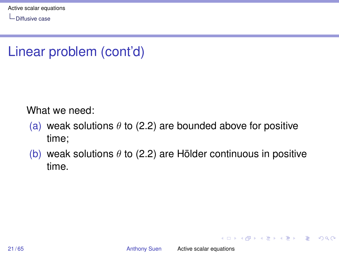#### Linear problem (cont'd)

What we need:

- (a) weak solutions  $\theta$  to [\(2.2\)](#page-17-0) are bounded above for positive time;
- (b) weak solutions  $\theta$  to [\(2.2\)](#page-17-0) are Hölder continuous in positive time.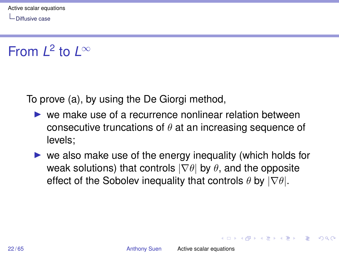From  $L^2$  to  $L^\infty$ 

To prove (a), by using the De Giorgi method,

- $\triangleright$  we make use of a recurrence nonlinear relation between consecutive truncations of  $\theta$  at an increasing sequence of levels;
- $\triangleright$  we also make use of the energy inequality (which holds for weak solutions) that controls  $|\nabla \theta|$  by  $\theta$ , and the opposite effect of the Sobolev inequality that controls  $\theta$  by  $|\nabla \theta|$ .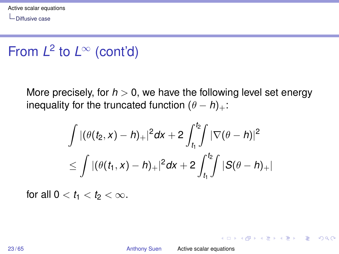## From  $L^2$  to  $L^\infty$  (cont'd)

More precisely, for  $h > 0$ , we have the following level set energy inequality for the truncated function  $(\theta - h)_+$ :

$$
\int |(\theta(t_2, x) - h)_+|^2 dx + 2 \int_{t_1}^{t_2} \int |\nabla(\theta - h)|^2
$$
  

$$
\leq \int |(\theta(t_1, x) - h)_+|^2 dx + 2 \int_{t_1}^{t_2} \int |S(\theta - h)_+|
$$

for all  $0 < t_1 < t_2 < \infty$ .

KO KA KE KE KE KE YA G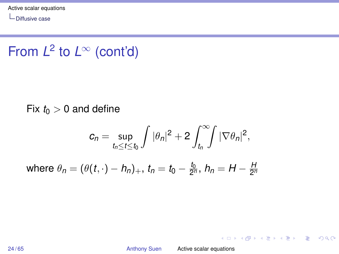## From  $L^2$  to  $L^\infty$  (cont'd)

Fix  $t_0 > 0$  and define

$$
c_n=\sup_{t_n\leq t\leq t_0}\int|\theta_n|^2+2\int_{t_n}^\infty\!\!\int|\nabla\theta_n|^2,
$$

where  $\theta_n = (\theta(t, \cdot) - h_n)_+, t_n = t_0 - \frac{t_0}{2^n}, h_n = H - \frac{H}{2^n}$ 2 *n*

24/65 **Anthony Suen [Active scalar equations](#page-0-0)** 

KOX KOX KEX KEX LE 1990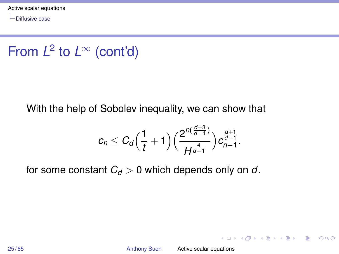From  $L^2$  to  $L^\infty$  (cont'd)

With the help of Sobolev inequality, we can show that

$$
c_n \leq C_d \Big(\frac{1}{t} + 1\Big) \Big(\frac{2^{n(\frac{d+3}{d-1})}}{H^{\frac{4}{d-1}}}\Big)c_{n-1}^{\frac{d+1}{d-1}}.
$$

for some constant  $C_d > 0$  which depends only on *d*.

**KOX KAX KEX KEX E YORA**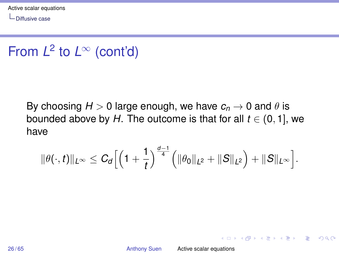## From  $L^2$  to  $L^\infty$  (cont'd)

By choosing  $H > 0$  large enough, we have  $c_n \to 0$  and  $\theta$  is bounded above by *H*. The outcome is that for all  $t \in (0, 1]$ , we have

$$
\|\theta(\cdot,t)\|_{L^\infty} \leq C_d \Big[\Big(1+\frac{1}{t}\Big)^{\frac{d-1}{4}}\Big(\|\theta_0\|_{L^2}+\|S\|_{L^2}\Big)+\|S\|_{L^\infty}\Big].
$$

KO KA KE KE KE KE YA G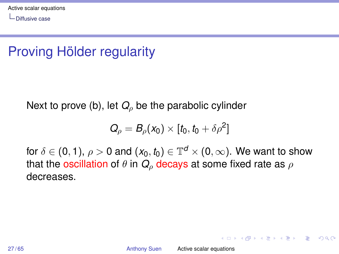## Proving Hölder regularity

Next to prove (b), let  $Q_{\rho}$  be the parabolic cylinder

$$
Q_{\rho}=B_{\rho}(x_0)\times [t_0,t_0+\delta\rho^2]
$$

for  $\delta \in (0,1),\, \rho >0$  and  $(x_0,t_0) \in \mathbb{T}^d \times (0,\infty).$  We want to show that the oscillation of  $\theta$  in  $Q_\rho$  decays at some fixed rate as  $\rho$ decreases.

**KORKARK (EXIST)** DI VOCA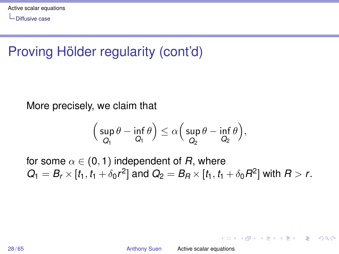#### Proving Hölder regularity (cont'd)

More precisely, we claim that

$$
\Big(\sup_{Q_1}\theta-\inf_{Q_1}\theta\Big)\leq \alpha \Big(\sup_{Q_2}\theta-\inf_{Q_2}\theta\Big),
$$

for some  $\alpha \in (0,1)$  independent of *R*, where  $Q_1 = B_r \times [t_1, t_1 + \delta_0 r^2]$  and  $Q_2 = B_R \times [t_1, t_1 + \delta_0 R^2]$  with  $R > r$ .

KO KA KE KE KE KE YA G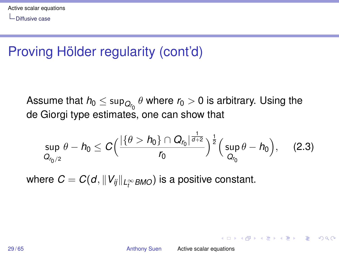#### Proving Hölder regularity (cont'd)

Assume that  $h_0 \le \sup_{Q_{r_0}} \theta$  where  $r_0 > 0$  is arbitrary. Using the de Giorgi type estimates, one can show that

<span id="page-28-0"></span>
$$
\sup_{G_{r_0/2}} \theta - h_0 \leq C \Big( \frac{|\{\theta > h_0\} \cap Q_{r_0}|^{\frac{1}{d+2}}}{r_0} \Big)^{\frac{1}{2}} \Big( \sup_{G_{r_0}} \theta - h_0 \Big), \quad (2.3)
$$

KO KA KE KE KE KE YA G

where  $\mathit{C} = \mathit{C}(\mathit{d},\|\mathit{V}_{ij}\|_{\mathit{L}^{\infty}_{t}\mathit{BMO}})$  is a positive constant.

29/65 **Anthony Suen [Active scalar equations](#page-0-0)**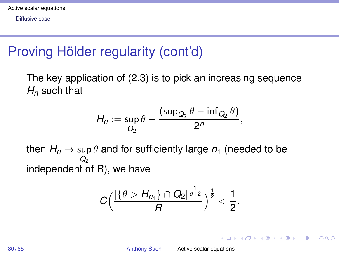#### Proving Hölder regularity (cont'd)

The key application of [\(2.3\)](#page-28-0) is to pick an increasing sequence *H<sup>n</sup>* such that

$$
H_n:=\sup_{Q_2}\theta-\frac{(\sup_{Q_2}\theta-\inf_{Q_2}\theta)}{2^n},
$$

then  $H_n \to \sup \theta$  and for sufficiently large  $n_1$  (needed to be *Q*<sup>2</sup> independent of R), we have

$$
C\Big(\frac{|\{\theta>H_{n_1}\}\cap Q_2|^{\frac{1}{d+2}}}{B}\Big)^{\frac{1}{2}}<\frac{1}{2}.
$$

30 / 65 Anthony Suen [Active scalar equations](#page-0-0)

KO KA KE KE KE KE YA G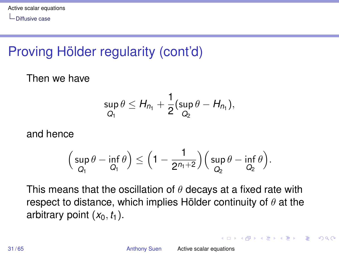## Proving Hölder regularity (cont'd)

Then we have

$$
\sup_{Q_1} \theta \leq H_{n_1} + \frac{1}{2} (\sup_{Q_2} \theta - H_{n_1}),
$$

and hence

$$
\Big(\sup_{Q_1}\theta-\inf_{Q_1}\theta\Big)\leq \Big(1-\frac{1}{2^{n_1+2}}\Big)\Big(\sup_{Q_2}\theta-\inf_{Q_2}\theta\Big).
$$

This means that the oscillation of  $\theta$  decays at a fixed rate with respect to distance, which implies Hölder continuity of  $\theta$  at the arbitrary point  $(x_0, t_1)$ .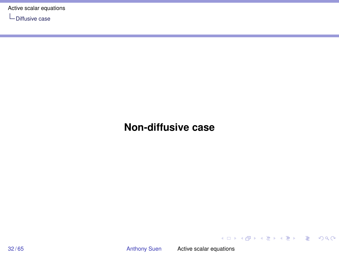#### **Non-diffusive case**

32/65 Anthony Suen [Active scalar equations](#page-0-0)

KOX KOX KEX KEX LE LONG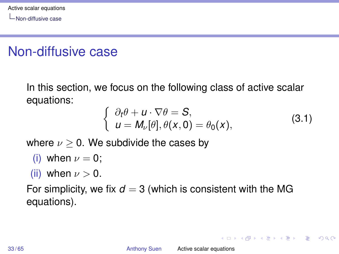#### <span id="page-32-0"></span>Non-diffusive case

In this section, we focus on the following class of active scalar equations:

<span id="page-32-1"></span>
$$
\begin{cases}\n\partial_t \theta + u \cdot \nabla \theta = S, \\
u = M_{\nu}[\theta], \theta(x, 0) = \theta_0(x),\n\end{cases}
$$
\n(3.1)

where  $\nu > 0$ . We subdivide the cases by

```
(i) when \nu = 0:
```
(ii) when  $\nu > 0$ .

For simplicity, we fix  $d = 3$  (which is consistent with the MG equations).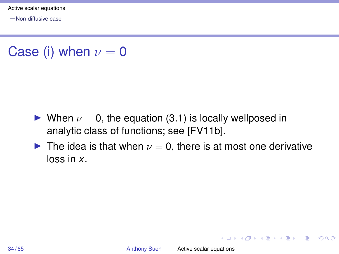Case (i) when  $\nu = 0$ 

- When  $\nu = 0$ , the equation [\(3.1\)](#page-32-1) is locally wellposed in analytic class of functions; see [FV11b].
- **IDED** The idea is that when  $\nu = 0$ , there is at most one derivative loss in *x*.

KO KA KE KE KE KE YA G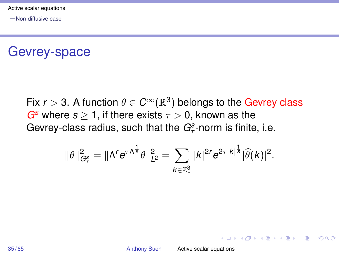#### Gevrey-space

Fix  $r > 3$ . A function  $\theta \in C^\infty(\mathbb{R}^3)$  belongs to the Gevrey class *G*<sup>*s*</sup> where *s*  $> 1$ , if there exists  $\tau > 0$ , known as the Gevrey-class radius, such that the  $G_{\tau}^s$ -norm is finite, i.e.

$$
\|\theta\|_{G_{\tau}^s}^2 = \|\Lambda^r e^{\tau \Lambda^{\frac{1}{s}}}\theta\|_{L^2}^2 = \sum_{k \in \mathbb{Z}_{\ast}^3} |k|^{2r} e^{2\tau |k|^{\frac{1}{s}}}|{\widehat{\theta}}(k)|^2.
$$

35 / 65 Anthony Suen [Active scalar equations](#page-0-0)

KO KA KE KE KE KE YA G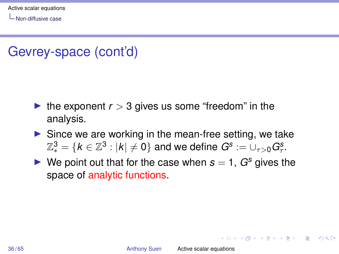## Gevrey-space (cont'd)

- If the exponent  $r > 3$  gives us some "freedom" in the analysis.
- $\triangleright$  Since we are working in the mean-free setting, we take  $\mathbb{Z}^3_*=\{k\in\mathbb{Z}^3:|k|\neq0\}$  and we define  $G^s:=\cup_{\tau>0}G^s_\tau.$
- $\triangleright$  We point out that for the case when  $s = 1$ ,  $G<sup>s</sup>$  gives the space of analytic functions.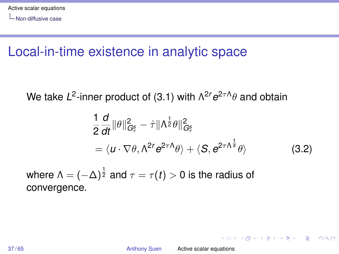#### Local-in-time existence in analytic space

We take L<sup>2</sup>-inner product of [\(3.1\)](#page-32-1) with Λ<sup>2r</sup> e<sup>2τΛ</sup>θ and obtain

<span id="page-36-0"></span>
$$
\frac{1}{2}\frac{d}{dt}\|\theta\|_{G_{\tau}}^2 - \dot{\tau}\|\Lambda^{\frac{1}{2}}\theta\|_{G_{\tau}}^2
$$
\n
$$
= \langle u \cdot \nabla \theta, \Lambda^{2r} e^{2\tau \Lambda} \theta \rangle + \langle S, e^{2\tau \Lambda^{\frac{1}{3}}} \theta \rangle \tag{3.2}
$$

**KOX KAX KEX KEX E YORA** 

where  $\Lambda=(-\Delta)^{\frac{1}{2}}$  and  $\tau=\tau(t)>0$  is the radius of convergence.

37 / 65 Anthony Suen [Active scalar equations](#page-0-0)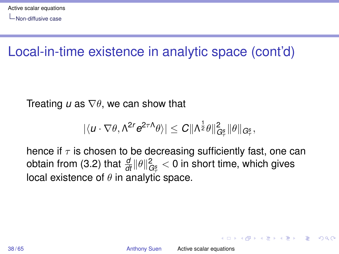#### Local-in-time existence in analytic space (cont'd)

Treating *u* as  $\nabla \theta$ , we can show that

$$
|\langle u\cdot\nabla\theta,\Lambda^{2r}e^{2\tau\Lambda}\theta\rangle|\leq C\|\Lambda^{\frac{1}{2}}\theta\|_{G_{\tau}^{\alpha}}^2\|\theta\|_{G_{\tau}^{\beta}},
$$

hence if  $\tau$  is chosen to be decreasing sufficiently fast, one can obtain from [\(3.2\)](#page-36-0) that  $\frac{d}{dt}\|\theta\|_{G_{\tau}^s}^2 < 0$  in short time, which gives local existence of  $\theta$  in analytic space.

4 0 X 4 @ X 4 B X 4 B X 1 B X 9 Q Q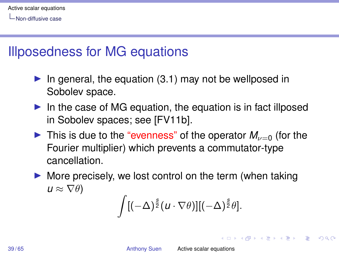#### Illposedness for MG equations

- In general, the equation  $(3.1)$  may not be wellposed in Sobolev space.
- In the case of MG equation, the equation is in fact illposed in Sobolev spaces; see [FV11b].
- **If** This is due to the "evenness" of the operator  $M_{\nu=0}$  (for the Fourier multiplier) which prevents a commutator-type cancellation.
- $\triangleright$  More precisely, we lost control on the term (when taking  $u \approx \nabla \theta$

$$
\int [(-\Delta)^{\frac{s}{2}}(u\cdot \nabla \theta)][(-\Delta)^{\frac{s}{2}}\theta].
$$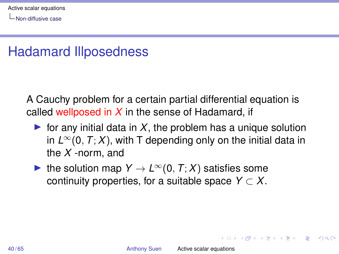#### Hadamard Illposedness

A Cauchy problem for a certain partial differential equation is called wellposed in *X* in the sense of Hadamard, if

- $\triangleright$  for any initial data in X, the problem has a unique solution in  $L^{\infty}(0, T; X)$ , with T depending only on the initial data in the *X* -norm, and
- **►** the solution map  $Y \rightarrow L^{\infty}(0, T; X)$  satisfies some continuity properties, for a suitable space  $Y \subset X$ .

40 / 65 Anthony Suen [Active scalar equations](#page-0-0)

KO KARA KE KAEK E YA GA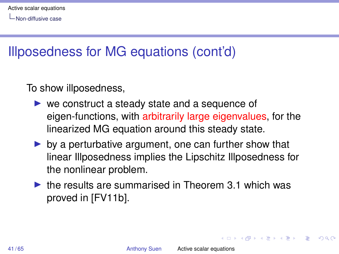#### Illposedness for MG equations (cont'd)

To show illposedness,

- $\triangleright$  we construct a steady state and a sequence of eigen-functions, with arbitrarily large eigenvalues, for the linearized MG equation around this steady state.
- $\triangleright$  by a perturbative argument, one can further show that linear Illposedness implies the Lipschitz Illposedness for the nonlinear problem.
- $\triangleright$  the results are summarised in Theorem [3.1](#page-41-0) which was proved in [FV11b].

KOD KAP KED KED E YA G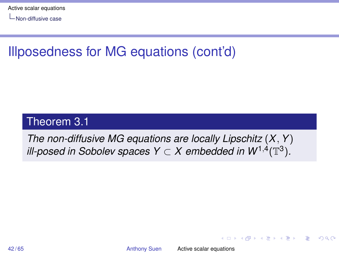#### Illposedness for MG equations (cont'd)

#### Theorem 3.1

<span id="page-41-0"></span>*The non-diffusive MG equations are locally Lipschitz* (*X*, *Y*) ill-posed in Sobolev spaces  $Y \subset X$  embedded in  $W^{1,4}(\mathbb{T}^{3}).$ 

42 / 65 Anthony Suen [Active scalar equations](#page-0-0)

KO KA KE KE KE KE YA G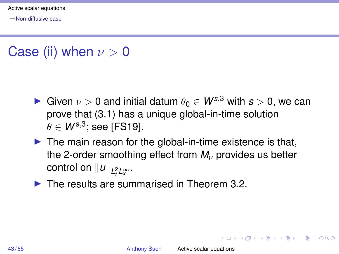## Case (ii) when  $\nu > 0$

- **►** Given  $\nu > 0$  and initial datum  $\theta_0 \in W^{s,3}$  with  $s > 0$ , we can prove that [\(3.1\)](#page-32-1) has a unique global-in-time solution  $\theta \in \mathsf{W}^{\mathsf{s},3};$  see [FS19].
- $\blacktriangleright$  The main reason for the global-in-time existence is that, the 2-order smoothing effect from  $M_{\nu}$  provides us better control on  $\|u\|_{L^2_tL^\infty_x}.$
- $\blacktriangleright$  The results are summarised in Theorem [3.2.](#page-43-0)

**KORKARK KERKEL DRA**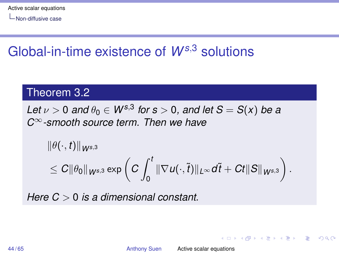## Global-in-time existence of *W<sup>s</sup>*,<sup>3</sup> solutions

#### Theorem 3.2

<span id="page-43-0"></span> $\mathcal{L}$ et  $\nu > 0$  and  $\theta_0 \in \mathcal{W}^{\mathbf{s},3}$  for  $\mathbf{s} > 0$ , and let  $\mathcal{S} = \mathcal{S}(x)$  be a *C*∞*-smooth source term. Then we have*

$$
\begin{aligned} &\|\theta(\cdot,t)\|_{W^{s,3}}\\&\leq C\|\theta_0\|_{W^{s,3}}\exp\left(\,C\int_0^t\|\nabla u(\cdot,\tilde t)\|_{L^\infty}d\tilde t+Ct\|S\|_{W^{s,3}}\right).\end{aligned}
$$

*Here C* > 0 *is a dimensional constant.*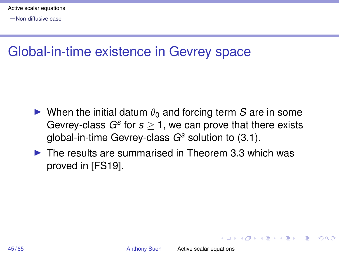#### Global-in-time existence in Gevrey space

- $\blacktriangleright$  When the initial datum  $\theta_0$  and forcing term *S* are in some Gevrey-class  $G^s$  for  $s \geq 1$ , we can prove that there exists global-in-time Gevrey-class *G<sup>s</sup>* solution to [\(3.1\)](#page-32-1).
- $\triangleright$  The results are summarised in Theorem [3.3](#page-45-0) which was proved in [FS19].

KOD KAP KED KED E YA G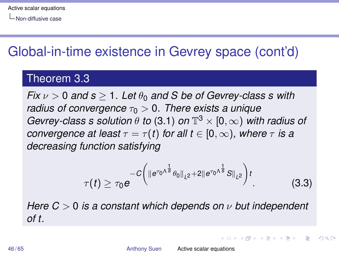## Global-in-time existence in Gevrey space (cont'd)

#### Theorem 3.3

<span id="page-45-0"></span>*Fix*  $\nu > 0$  *and s*  $\geq 1$ *. Let*  $\theta_0$  *and S be of Gevrey-class s with radius of convergence*  $\tau_0 > 0$ . There exists a unique *Gevrey-class s solution*  $\theta$  *to* [\(3.1\)](#page-32-1) *on*  $\mathbb{T}^3 \times [0, \infty)$  *with radius of convergence at least*  $\tau = \tau(t)$  *for all*  $t \in [0, \infty)$ *, where*  $\tau$  *is a decreasing function satisfying*

<span id="page-45-1"></span>
$$
\tau(t) \geq \tau_0 e^{-C\left(\left\|\theta^{\tau_0\Lambda^{\frac{1}{3}}}\theta_0\right\|_{L^2} + 2\left\|\theta^{\tau_0\Lambda^{\frac{1}{3}}}S\right\|_{L^2}\right)t}.
$$
 (3.3)

KO KARA KE KAEK E YA GA

*Here C* > 0 *is a constant which depends on* ν *but independent of t.*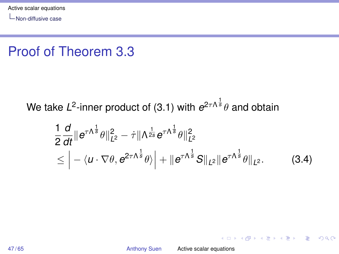#### Proof of Theorem [3.3](#page-45-0)

We take *L* 2 -inner product of [\(3.1\)](#page-32-1) with *e* 2τΛ 1 *s* θ and obtain

<span id="page-46-0"></span>
$$
\frac{1}{2}\frac{d}{dt}\|\mathbf{e}^{\tau\Lambda_{\mathbf{S}}^{\frac{1}{2}}}\theta\|_{\mathbf{L}^{2}}^{2}-\dot{\tau}\|\Lambda_{\mathbf{S}}^{\frac{1}{2}}\mathbf{e}^{\tau\Lambda_{\mathbf{S}}^{\frac{1}{2}}}\theta\|_{\mathbf{L}^{2}}^{2}\n\\ \leq \left| -\langle u\cdot\nabla\theta, \mathbf{e}^{2\tau\Lambda_{\mathbf{S}}^{\frac{1}{2}}}\theta\rangle \right| + \|\mathbf{e}^{\tau\Lambda_{\mathbf{S}}^{\frac{1}{2}}}\mathbf{S}\|_{\mathbf{L}^{2}}\|\mathbf{e}^{\tau\Lambda_{\mathbf{S}}^{\frac{1}{2}}}\theta\|_{\mathbf{L}^{2}}.
$$
\n(3.4)

KID KAR KE KE KE YA GA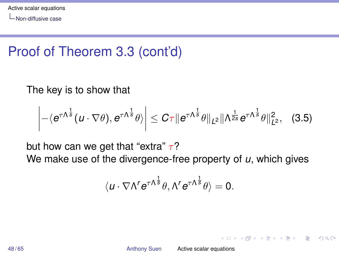#### Proof of Theorem [3.3](#page-45-0) (cont'd)

The key is to show that

<span id="page-47-0"></span>
$$
\left|-\langle e^{\tau\Lambda^{\frac{1}{3}}}(u\cdot\nabla\theta),e^{\tau\Lambda^{\frac{1}{3}}}\theta\rangle\right|\leq C\tau\|e^{\tau\Lambda^{\frac{1}{3}}}\theta\|_{L^{2}}\|\Lambda^{\frac{1}{2s}}e^{\tau\Lambda^{\frac{1}{3}}}\theta\|_{L^{2}}^{2},
$$
 (3.5)

but how can we get that "extra"  $\tau$ ? We make use of the divergence-free property of *u*, which gives

$$
\langle u\cdot\nabla\Lambda^r e^{\tau\Lambda^{\frac{1}{s}}}\theta,\Lambda^r e^{\tau\Lambda^{\frac{1}{s}}}\theta\rangle=0.
$$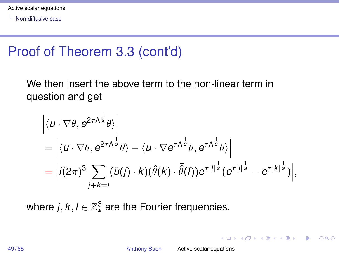### Proof of Theorem [3.3](#page-45-0) (cont'd)

We then insert the above term to the non-linear term in question and get

$$
\langle u \cdot \nabla \theta, e^{2\tau \Lambda^{\frac{1}{3}}} \theta \rangle \Big|
$$
  
=\langle u \cdot \nabla \theta, e^{2\tau \Lambda^{\frac{1}{3}}} \theta \rangle - \langle u \cdot \nabla e^{\tau \Lambda^{\frac{1}{3}}} \theta, e^{\tau \Lambda^{\frac{1}{3}}} \theta \rangle \Big|  
=\Big| i(2\pi)^3 \sum\_{j+k=1} (\hat{u}(j) \cdot k)(\hat{\theta}(k) \cdot \overline{\hat{\theta}}(l)) e^{\tau |l|^{\frac{1}{3}}} (e^{\tau |l|^{\frac{1}{3}}} - e^{\tau |k|^{\frac{1}{3}}} ) \Big|,

where  $j, k, l \in \mathbb{Z}_*^3$  are the Fourier frequencies.

KOX KOX KEX KEX LE YORO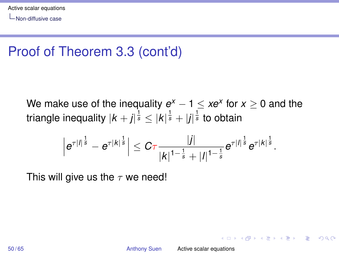#### Proof of Theorem [3.3](#page-45-0) (cont'd)

We make use of the inequality  $e^{\chi}-1\leq xe^{\chi}$  for  $x\geq0$  and the triangle inequality  $|k+j|^{\frac{1}{s}} \leq |k|^{\frac{1}{s}} + |j|^{\frac{1}{s}}$  to obtain

$$
\left|e^{\tau |l|^{\frac{1}{s}}}-e^{\tau |k|^{\frac{1}{s}}}\right|\leq C\tau \frac{|j|}{|k|^{1-\frac{1}{s}}+|l|^{1-\frac{1}{s}} }e^{\tau |l|^{\frac{1}{s}} }e^{\tau |k|^{\frac{1}{s}}}
$$

This will give us the  $\tau$  we need!

50 / 65 Anthony Suen [Active scalar equations](#page-0-0)

.

KO KA KE KE KE KE YA G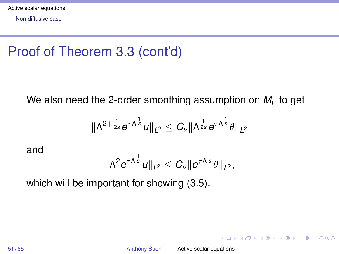#### Proof of Theorem [3.3](#page-45-0) (cont'd)

We also need the 2-order smoothing assumption on  $M_{\nu}$  to get

$$
\|\Lambda^{2+\frac{1}{2s}}e^{\tau\Lambda^{\frac{1}{s}}}u\|_{L^2}\leq C_\nu\|\Lambda^{\frac{1}{2s}}e^{\tau\Lambda^{\frac{1}{s}}}\theta\|_{L^2}
$$

and

$$
\|\Lambda^2 e^{\tau\Lambda^{\frac{1}{8}}}u\|_{L^2}\leq C_\nu \|e^{\tau\Lambda^{\frac{1}{8}}}\theta\|_{L^2},
$$

which will be important for showing [\(3.5\)](#page-47-0).

**KORKARK (EXIST)** DI VOCA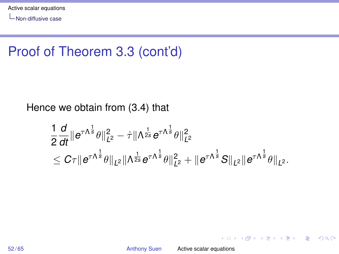#### Proof of Theorem [3.3](#page-45-0) (cont'd)

Hence we obtain from [\(3.4\)](#page-46-0) that

$$
\frac{1}{2}\frac{d}{dt}\|\mathbf{e}^{\tau\Lambda^{\frac{1}{3}}}\theta\|_{L^2}^2-\dot{\tau}\|\Lambda^{\frac{1}{2s}}\mathbf{e}^{\tau\Lambda^{\frac{1}{3}}}\theta\|_{L^2}^2 \leq C\tau\|\mathbf{e}^{\tau\Lambda^{\frac{1}{3}}}\theta\|_{L^2}\|\Lambda^{\frac{1}{2s}}\mathbf{e}^{\tau\Lambda^{\frac{1}{5}}}\theta\|_{L^2}^2+\|\mathbf{e}^{\tau\Lambda^{\frac{1}{5}}}\mathbf{S}\|_{L^2}\|\mathbf{e}^{\tau\Lambda^{\frac{1}{3}}}\theta\|_{L^2}.
$$

KID KAR KE KE KE YA GA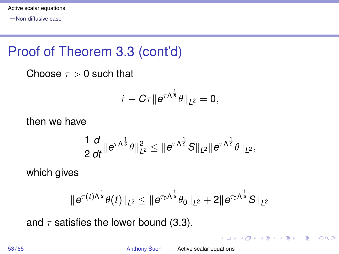#### Proof of Theorem [3.3](#page-45-0) (cont'd)

Choose  $\tau > 0$  such that

$$
\dot{\tau}+C\tau\|e^{\tau\Lambda^{\frac{1}{8}}}\theta\|_{L^2}=0,
$$

then we have

$$
\frac{1}{2}\frac{d}{dt}\|e^{\tau\Lambda^{\frac{1}{5}}}\theta\|_{L^2}^2\leq\|e^{\tau\Lambda^{\frac{1}{5}}}S\|_{L^2}\|e^{\tau\Lambda^{\frac{1}{5}}}\theta\|_{L^2},
$$

which gives

$$
\|e^{\tau(t)\Lambda^{\frac{1}{s}}}\theta(t)\|_{L^2}\leq\|e^{\tau_0\Lambda^{\frac{1}{s}}}\theta_0\|_{L^2}+2\|e^{\tau_0\Lambda^{\frac{1}{s}}}S\|_{L^2}
$$

and  $\tau$  satisfies the lower bound [\(3.3\)](#page-45-1).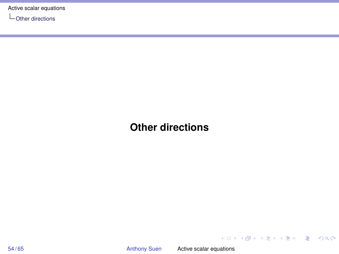#### <span id="page-53-0"></span>**Other directions**

54/65 Anthony Suen [Active scalar equations](#page-0-0)

KOX KOX KEX KEX LE LONG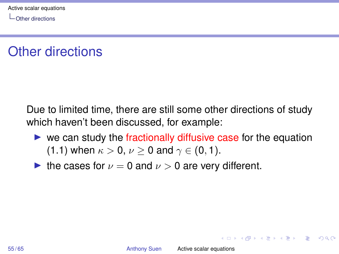#### Other directions

Due to limited time, there are still some other directions of study which haven't been discussed, for example:

- $\triangleright$  we can study the fractionally diffusive case for the equation [\(1.1\)](#page-3-0) when  $\kappa > 0$ ,  $\nu \geq 0$  and  $\gamma \in (0,1)$ .
- In the cases for  $\nu = 0$  and  $\nu > 0$  are very different.

KO KA KE KE KE KE YA G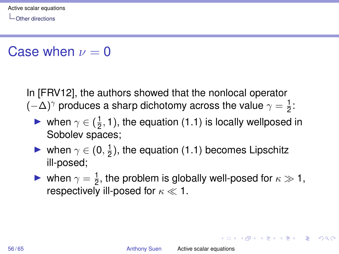#### Case when  $\nu = 0$

In [FRV12], the authors showed that the nonlocal operator  $(-\Delta)^\gamma$  produces a sharp dichotomy across the value  $\gamma=\frac{1}{2}$  $\frac{1}{2}$ :

- when  $\gamma \in (\frac{1}{2})$  $\frac{1}{2}$ , 1), the equation [\(1.1\)](#page-3-0) is locally wellposed in Sobolev spaces;
- I when  $\gamma \in (0, \frac{1}{2})$  $\frac{1}{2}$ ), the equation [\(1.1\)](#page-3-0) becomes Lipschitz ill-posed;
- l when  $\gamma = \frac{1}{2}$  $\frac{1}{2}$ , the problem is globally well-posed for  $\kappa \gg 1$ , respectively ill-posed for  $\kappa \ll 1$ .

**KORKARK KERKEL DRA**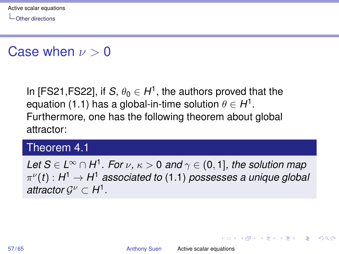#### Case when  $\nu > 0$

In [FS21,FS22], if  $S, \theta_0 \in H^1$ , the authors proved that the equation [\(1.1\)](#page-3-0) has a global-in-time solution  $\theta \in H^1.$ Furthermore, one has the following theorem about global attractor:

#### Theorem 4.1

Let  $S \in L^{\infty} \cap H^{1}$  . For  $\nu$ ,  $\kappa > 0$  and  $\gamma \in (0,1]$ , the solution map  $\pi^\nu(t) : H^1 → H^1$  associated to [\(1.1\)](#page-3-0) *possesses a unique global* attractor  $\mathcal{G}^{\nu} \subset H^{1}$  .

**KORKARK (EXIST)** DI VOCA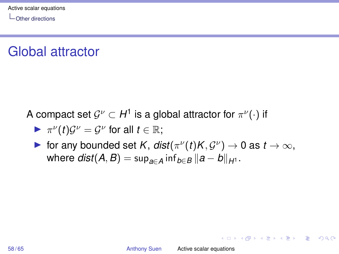#### Global attractor

A compact set  $\mathcal{G}^{\nu}\subset H^{1}$  is a global attractor for  $\pi^{\nu}(\cdot)$  if

 $\blacktriangleright \pi^{\nu}(t) \mathcal{G}^{\nu} = \mathcal{G}^{\nu}$  for all  $t \in \mathbb{R}$ ;

**If** for any bounded set *K*, *dist*( $\pi^{\nu}(t)K, \mathcal{G}^{\nu}$ )  $\rightarrow$  0 as  $t \rightarrow \infty$ , where  $dist(A, B) = \sup_{a \in A} \inf_{b \in B} ||a - b||_{H^1}$ .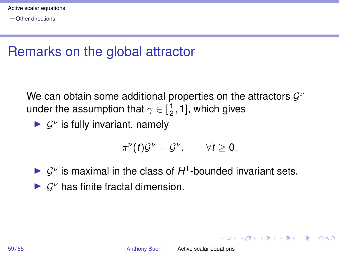#### Remarks on the global attractor

We can obtain some additional properties on the attractors  $\mathcal{G}^{\nu}$ under the assumption that  $\gamma \in [\frac{1}{2}]$  $\frac{1}{2}$ , 1], which gives

 $\blacktriangleright$   $\mathcal{G}^{\nu}$  is fully invariant, namely

$$
\pi^{\nu}(t) \mathcal{G}^{\nu} = \mathcal{G}^{\nu}, \qquad \forall t \geq 0.
$$

- $\triangleright$   $\mathcal{G}^{\nu}$  is maximal in the class of  $H^1$ -bounded invariant sets.
- $\blacktriangleright$   $\mathcal{G}^{\nu}$  has finite fractal dimension.

**KORKARK KERKEL DRA**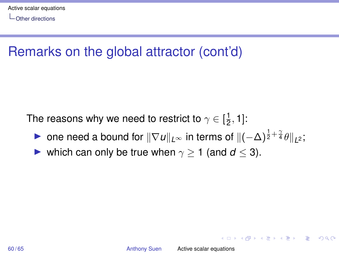#### Remarks on the global attractor (cont'd)

The reasons why we need to restrict to  $\gamma \in [\frac{1}{2}]$  $\frac{1}{2}$ , 1]:

- **►** one need a bound for  $\|\nabla u\|_{L^{\infty}}$  in terms of  $\|(-\Delta)^{\frac{1}{2} + \frac{\gamma}{4}}\theta\|_{L^2}$ ;
- ightharpoonly be true when  $\gamma > 1$  (and  $d < 3$ ).

KID KAP KE KE KE KE YAN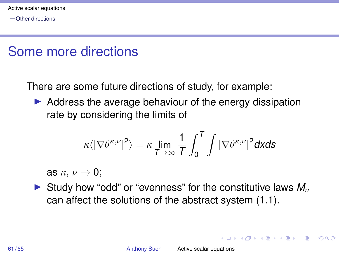#### Some more directions

There are some future directions of study, for example:

 $\triangleright$  Address the average behaviour of the energy dissipation rate by considering the limits of

$$
\kappa \langle |\nabla \theta^{\kappa,\nu}|^2 \rangle = \kappa \lim_{T \to \infty} \frac{1}{T} \int_0^T \int |\nabla \theta^{\kappa,\nu}|^2 dxds
$$

as  $\kappa$ ,  $\nu \rightarrow 0$ ;

**►** Study how "odd" or "evenness" for the constitutive laws  $M_{\nu}$ can affect the solutions of the abstract system [\(1.1\)](#page-3-0).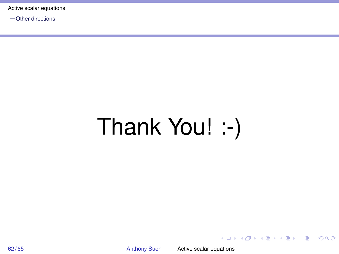# Thank You! :-)

62 / 65 Anthony Suen [Active scalar equations](#page-0-0)

KOX KOX KEX KEX LE 1990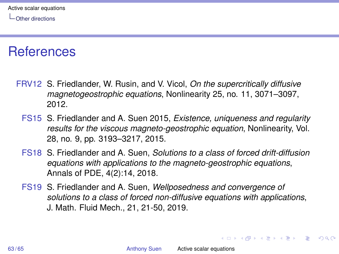#### **References**

- FRV12 S. Friedlander, W. Rusin, and V. Vicol, *On the supercritically diffusive magnetogeostrophic equations*, Nonlinearity 25, no. 11, 3071–3097, 2012.
	- FS15 S. Friedlander and A. Suen 2015, *Existence, uniqueness and regularity results for the viscous magneto-geostrophic equation*, Nonlinearity, Vol. 28, no. 9, pp. 3193–3217, 2015.
	- FS18 S. Friedlander and A. Suen, *Solutions to a class of forced drift-diffusion equations with applications to the magneto-geostrophic equations*, Annals of PDE, 4(2):14, 2018.
	- FS19 S. Friedlander and A. Suen, *Wellposedness and convergence of solutions to a class of forced non-diffusive equations with applications*, J. Math. Fluid Mech., 21, 21-50, 2019.

イロト イ押 トイヨ トイヨ トーヨー

 $QQ$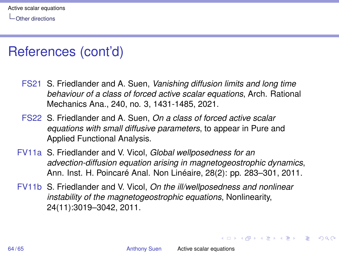#### References (cont'd)

- FS21 S. Friedlander and A. Suen, *Vanishing diffusion limits and long time behaviour of a class of forced active scalar equations*, Arch. Rational Mechanics Ana., 240, no. 3, 1431-1485, 2021.
- FS22 S. Friedlander and A. Suen, *On a class of forced active scalar equations with small diffusive parameters*, to appear in Pure and Applied Functional Analysis.
- FV11a S. Friedlander and V. Vicol, *Global wellposedness for an advection-diffusion equation arising in magnetogeostrophic dynamics*, Ann. Inst. H. Poincaré Anal. Non Linéaire, 28(2): pp. 283–301, 2011.
- FV11b S. Friedlander and V. Vicol, *On the ill/wellposedness and nonlinear instability of the magnetogeostrophic equations*, Nonlinearity, 24(11):3019–3042, 2011.

イロト イ押 トイヨ トイヨ トーヨー

 $QQ$